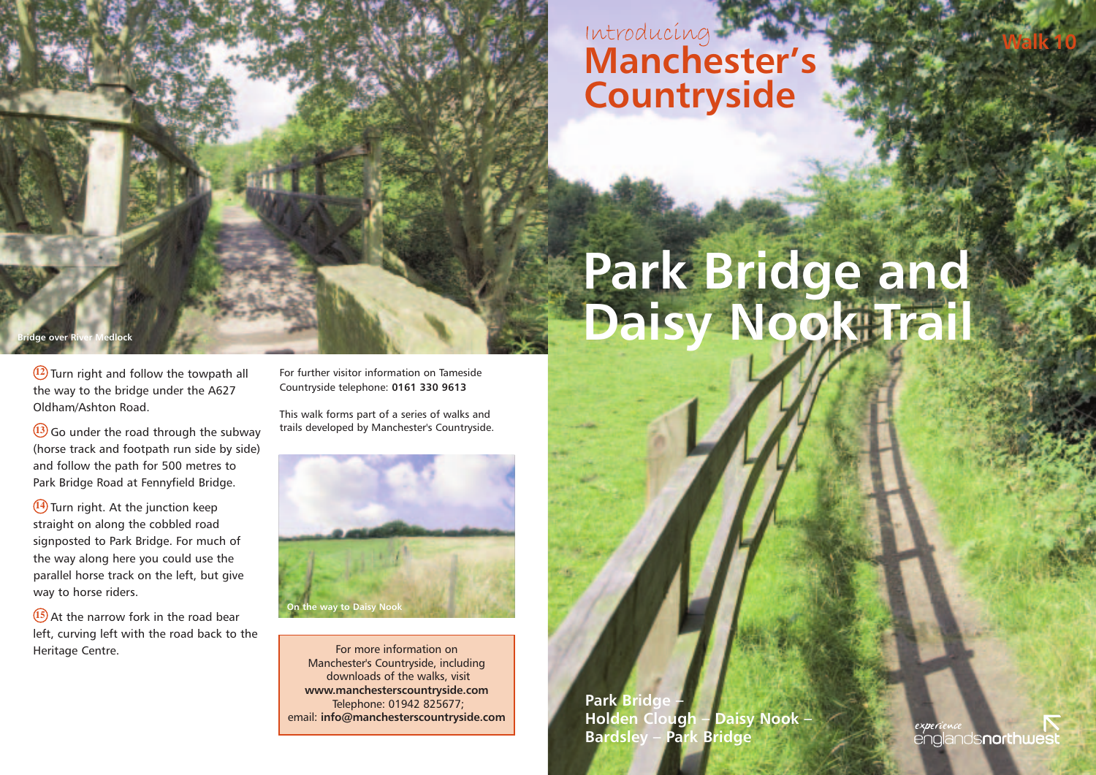## **Walk <sup>10</sup>** Introducing **Manchester's Countryside**

# **Park Bridge and Daisy Nook Trail**

**12** Turn right and follow the towpath all the way to the bridge under the A627 Oldham/Ashton Road.

**Bradge Bridge** 

**13** Go under the road through the subway (horse track and footpath run side by side) and follow the path for 500 metres to Park Bridge Road at Fennyfield Bridge.

**14** Turn right. At the junction keep straight on along the cobbled road signposted to Park Bridge. For much of the way along here you could use the parallel horse track on the left, but give way to horse riders.

**15** At the narrow fork in the road bear left, curving left with the road back to the Heritage Centre.

For further visitor information on Tameside Countryside telephone: **0161 330 9613**

This walk forms part of a series of walks and trails developed by Manchester's Countryside.



For more information on Manchester's Countryside, including downloads of the walks, visit **www.manchesterscountryside.com** Telephone: 01942 825677; email: **info@manchesterscountryside.com**

**Park Bridge Holden Clough – Daisy Nook – Bardsley – Park Bridge**

**nds<b>northwes**